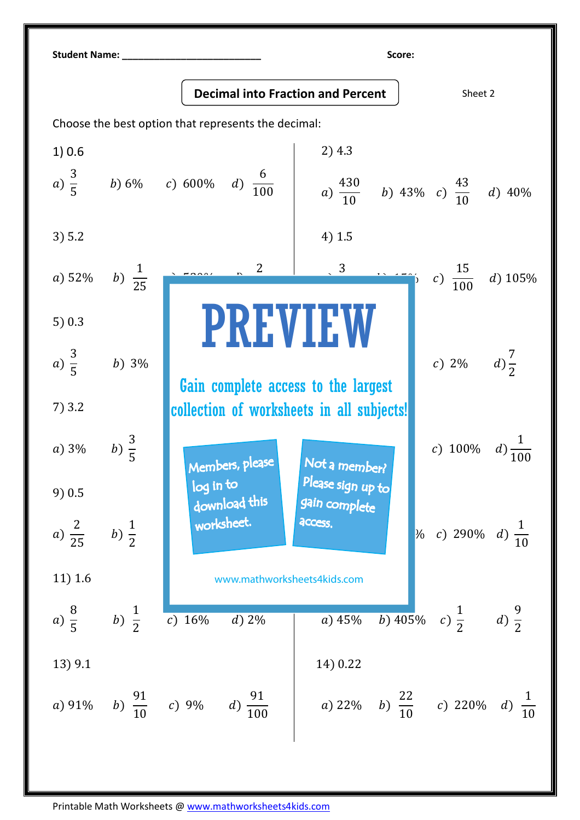